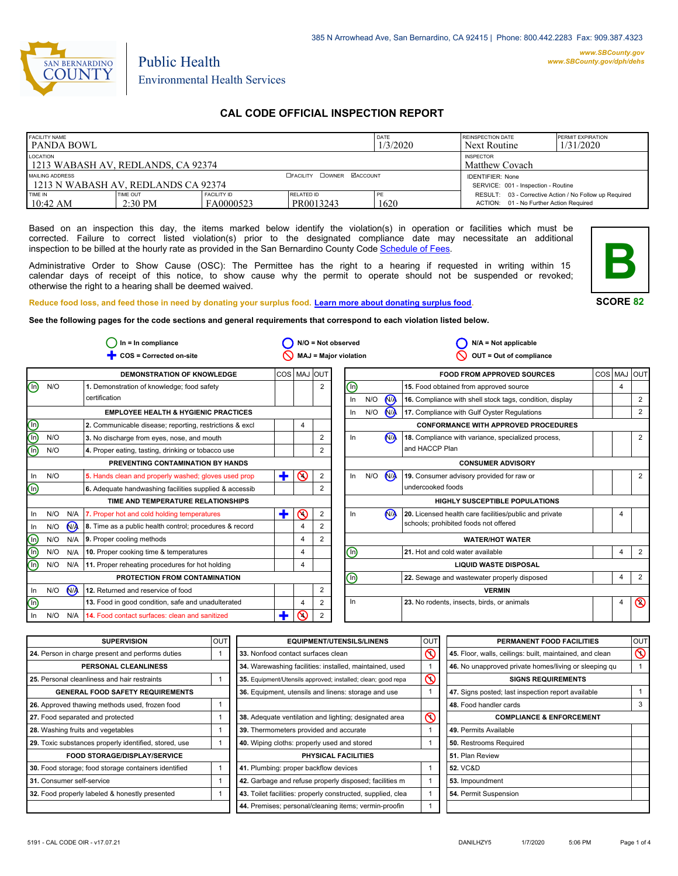

# Public Health Environmental Health Services

# **CAL CODE OFFICIAL INSPECTION REPORT**

| <b>FACILITY NAME</b><br>l panda bowl                     |                              |                                  |                                                                | DATE<br>1/3/2020 | <b>REINSPECTION DATE</b><br>Next Routine                                                          | <b>PERMIT EXPIRATION</b><br>1/31/2020 |
|----------------------------------------------------------|------------------------------|----------------------------------|----------------------------------------------------------------|------------------|---------------------------------------------------------------------------------------------------|---------------------------------------|
| LOCATION<br>1213 WABASH AV, REDLANDS, CA 92374           |                              |                                  | <b>INSPECTOR</b><br>Matthew Covach                             |                  |                                                                                                   |                                       |
| MAILING ADDRESS<br>1 1213 N WABASH AV. REDLANDS CA 92374 |                              | <b>CFACILITY COWNER MACCOUNT</b> | <b>IDENTIFIER: None</b><br>SERVICE: 001 - Inspection - Routine |                  |                                                                                                   |                                       |
| TIME IN<br>$10:42 \text{ AM}$                            | <b>TIME OUT</b><br>$2:30$ PM | <b>FACILITY ID</b><br>FA0000523  | RELATED ID<br>PR0013243                                        | PE<br>1620       | RESULT: 03 - Corrective Action / No Follow up Required<br>ACTION: 01 - No Further Action Required |                                       |

Based on an inspection this day, the items marked below identify the violation(s) in operation or facilities which must be corrected. Failure to correct listed violation(s) prior to the designated compliance date may necessitate an additional inspection to be billed at the hourly rate as provided in the San Bernardino County Code Schedule [of Fees.](http://www.amlegal.com/nxt/gateway.dll/California/sanbernardinocounty_ca/title1governmentandadministration/division6countyfees/chapter2scheduleoffees?f=templates$fn=default.htm$3.0$vid=amlegal:sanbernardinocounty_ca$anc=JD_16.0213B)

Administrative Order to Show Cause (OSC): The Permittee has the right to a hearing if requested in writing within 15 calendar days of receipt of this notice, to show cause why the permit to operate should not be suspended or revoked; otherwise the right to a hearing shall be deemed waived.



**SCORE 82**

**Reduce food loss, and feed those in need by donating your surplus food. Learn mor[e about donating surplus food.](http://wp.sbcounty.gov/dph/programs/ehs/food-facilities/)**

**See the following pages for the code sections and general requirements that correspond to each violation listed below.**

|                                | $ln = ln$ compliance |                |                                                         | $N/O = Not observed$ |                |                | $N/A = Not applicable$       |     |                |                                                          |   |                |
|--------------------------------|----------------------|----------------|---------------------------------------------------------|----------------------|----------------|----------------|------------------------------|-----|----------------|----------------------------------------------------------|---|----------------|
|                                |                      |                | COS = Corrected on-site                                 |                      |                |                | <b>MAJ = Major violation</b> |     |                | OUT = Out of compliance                                  |   |                |
|                                |                      |                | <b>DEMONSTRATION OF KNOWLEDGE</b>                       |                      |                | COS   MAJ OUT  |                              |     |                | <b>FOOD FROM APPROVED SOURCES</b>                        |   | COS MAJ OUT    |
| ⊚                              | N/O                  |                | 1. Demonstration of knowledge; food safety              |                      |                | $\overline{2}$ | (0)                          |     |                | 15. Food obtained from approved source                   | 4 |                |
|                                |                      |                | certification                                           |                      |                |                | In                           | N/O | <b>MA</b>      | 16. Compliance with shell stock tags, condition, display |   | $\overline{2}$ |
|                                |                      |                | <b>EMPLOYEE HEALTH &amp; HYGIENIC PRACTICES</b>         |                      |                |                | In.                          | N/O | $\mathbf{M}$   | 17. Compliance with Gulf Oyster Regulations              |   | 2              |
|                                |                      |                | 2. Communicable disease; reporting, restrictions & excl |                      | 4              |                |                              |     |                | <b>CONFORMANCE WITH APPROVED PROCEDURES</b>              |   |                |
| G)                             | N/O                  |                | 3. No discharge from eyes, nose, and mouth              |                      |                | $\overline{2}$ | In                           |     | N <sub>A</sub> | 18. Compliance with variance, specialized process,       |   | 2              |
| ൹                              | N/O                  |                | 4. Proper eating, tasting, drinking or tobacco use      |                      |                |                |                              |     |                | and HACCP Plan                                           |   |                |
|                                |                      |                | PREVENTING CONTAMINATION BY HANDS                       |                      |                |                |                              |     |                | <b>CONSUMER ADVISORY</b>                                 |   |                |
| In.                            | N/O                  |                | 5. Hands clean and properly washed; gloves used prop    | ÷                    | $\odot$        | 2              | In                           | N/O | N              | 19. Consumer advisory provided for raw or                |   | $\overline{2}$ |
| $\mathbb{\Theta}$              |                      |                | 6. Adequate handwashing facilities supplied & accessib  |                      |                |                |                              |     |                | undercooked foods                                        |   |                |
|                                |                      |                | TIME AND TEMPERATURE RELATIONSHIPS                      |                      |                |                |                              |     |                | <b>HIGHLY SUSCEPTIBLE POPULATIONS</b>                    |   |                |
| In.                            | N/O                  |                | N/A   7. Proper hot and cold holding temperatures       | ٠                    | $\odot$        | 2              | In.                          |     | N <sub>A</sub> | 20. Licensed health care facilities/public and private   |   |                |
| In                             | N/O                  | N <sub>/</sub> | 8. Time as a public health control; procedures & record |                      | 4              |                |                              |     |                | schools; prohibited foods not offered                    |   |                |
| $\textcircled{\scriptsize{1}}$ | N/O                  | N/A            | 9. Proper cooling methods                               |                      | $\overline{4}$ | 2              |                              |     |                | <b>WATER/HOT WATER</b>                                   |   |                |
| $\circledcirc$                 | N/O                  | N/A            | 10. Proper cooking time & temperatures                  |                      | $\overline{4}$ |                | $\bm{\mathbb{\Theta}}$       |     |                | 21. Hot and cold water available                         | 4 | 2              |
| (n)                            | N/O                  | N/A            | 11. Proper reheating procedures for hot holding         |                      | 4              |                |                              |     |                | <b>LIQUID WASTE DISPOSAL</b>                             |   |                |
|                                |                      |                | PROTECTION FROM CONTAMINATION                           |                      |                |                | ⋒                            |     |                | 22. Sewage and wastewater properly disposed              | 4 | $\overline{2}$ |
| In                             | N/O                  | M              | 12. Returned and reservice of food                      |                      |                | 2              |                              |     |                | <b>VERMIN</b>                                            |   |                |
| ⓪                              |                      |                | 13. Food in good condition, safe and unadulterated      |                      | 4              | 2              | In                           |     |                | 23. No rodents, insects, birds, or animals               | 4 | $\circledcirc$ |
| In                             | N/O                  | N/A            | 14. Food contact surfaces: clean and sanitized          | ╋                    | ര              | $\overline{2}$ |                              |     |                |                                                          |   |                |

| <b>SUPERVISION</b>                                    | <b>OUT</b> | <b>EQUIPMENT/UTENSILS/LINENS</b>                             | OU <sup>-</sup>                            | PERMANENT FOOD FACILITIES                                | lout           |
|-------------------------------------------------------|------------|--------------------------------------------------------------|--------------------------------------------|----------------------------------------------------------|----------------|
| 24. Person in charge present and performs duties      |            | Q<br>33. Nonfood contact surfaces clean                      |                                            | 45. Floor, walls, ceilings: built, maintained, and clean | $\circledcirc$ |
| PERSONAL CLEANLINESS                                  |            | 34. Warewashing facilities: installed, maintained, used      |                                            | 46. No unapproved private homes/living or sleeping qu    |                |
| 25. Personal cleanliness and hair restraints          |            | 35. Equipment/Utensils approved; installed; clean; good repa | $\mathcal{S}$<br><b>SIGNS REQUIREMENTS</b> |                                                          |                |
| <b>GENERAL FOOD SAFETY REQUIREMENTS</b>               |            | 36. Equipment, utensils and linens: storage and use          |                                            | 47. Signs posted; last inspection report available       |                |
| 26. Approved thawing methods used, frozen food        |            |                                                              |                                            | 48. Food handler cards                                   | 3              |
| 27. Food separated and protected                      |            | 38. Adequate ventilation and lighting; designated area       | $\mathcal{S}$                              | <b>COMPLIANCE &amp; ENFORCEMENT</b>                      |                |
| 28. Washing fruits and vegetables                     |            | 39. Thermometers provided and accurate                       |                                            | 49. Permits Available                                    |                |
| 29. Toxic substances properly identified, stored, use |            | 40. Wiping cloths: properly used and stored                  |                                            | <b>50.</b> Restrooms Required                            |                |
| <b>FOOD STORAGE/DISPLAY/SERVICE</b>                   |            | PHYSICAL FACILITIES                                          |                                            | 51. Plan Review                                          |                |
| 30. Food storage; food storage containers identified  |            | 41. Plumbing: proper backflow devices                        |                                            | <b>52. VC&amp;D</b>                                      |                |
| 31. Consumer self-service                             |            | 42. Garbage and refuse properly disposed; facilities m       |                                            | 53. Impoundment                                          |                |
| 32. Food properly labeled & honestly presented        |            | 43. Toilet facilities: properly constructed, supplied, clea  |                                            | 54. Permit Suspension                                    |                |
|                                                       |            | 44. Premises; personal/cleaning items; vermin-proofin        |                                            |                                                          |                |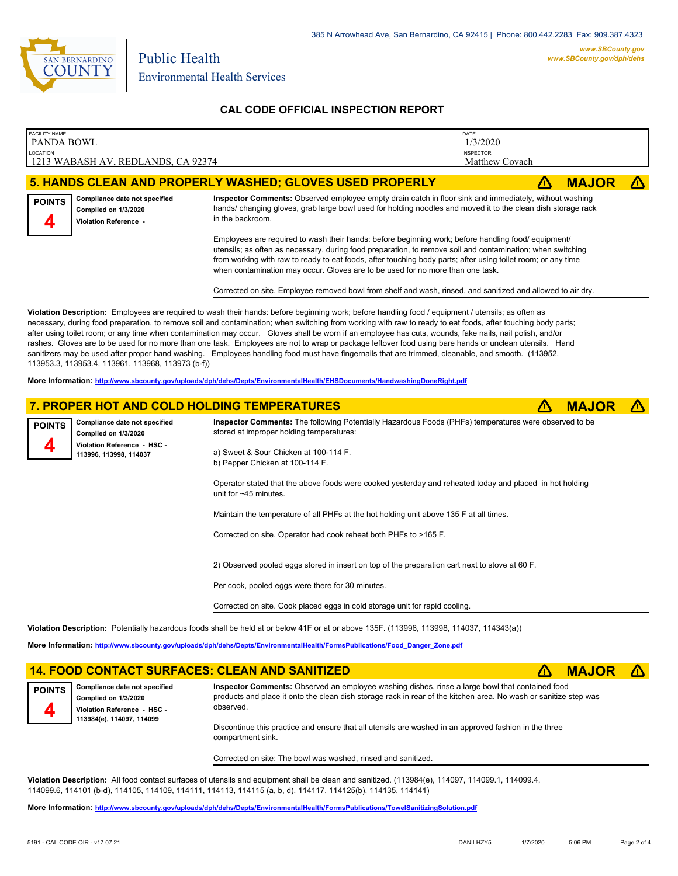

## **CAL CODE OFFICIAL INSPECTION REPORT**

| <b>FACILITY NAME</b> | DATE<br>PANDA BOWL<br>1/3/2020                                                                                                                                                                                                                                                                                                                                                                                                                                                                                                                                                                                                                                                                                                                                                                                                                     |                                                                                                                                                                                                                                                                                                                                                   |                                    |    |              |  |  |  |
|----------------------|----------------------------------------------------------------------------------------------------------------------------------------------------------------------------------------------------------------------------------------------------------------------------------------------------------------------------------------------------------------------------------------------------------------------------------------------------------------------------------------------------------------------------------------------------------------------------------------------------------------------------------------------------------------------------------------------------------------------------------------------------------------------------------------------------------------------------------------------------|---------------------------------------------------------------------------------------------------------------------------------------------------------------------------------------------------------------------------------------------------------------------------------------------------------------------------------------------------|------------------------------------|----|--------------|--|--|--|
| LOCATION             | 1213 WABASH AV, REDLANDS, CA 92374                                                                                                                                                                                                                                                                                                                                                                                                                                                                                                                                                                                                                                                                                                                                                                                                                 |                                                                                                                                                                                                                                                                                                                                                   | <b>INSPECTOR</b><br>Matthew Covach |    |              |  |  |  |
|                      |                                                                                                                                                                                                                                                                                                                                                                                                                                                                                                                                                                                                                                                                                                                                                                                                                                                    | 5. HANDS CLEAN AND PROPERLY WASHED; GLOVES USED PROPERLY                                                                                                                                                                                                                                                                                          |                                    | Æ  | <b>MAJOR</b> |  |  |  |
| <b>POINTS</b><br>4   | Compliance date not specified<br>Complied on 1/3/2020<br>Violation Reference -                                                                                                                                                                                                                                                                                                                                                                                                                                                                                                                                                                                                                                                                                                                                                                     | Inspector Comments: Observed employee empty drain catch in floor sink and immediately, without washing<br>hands/ changing gloves, grab large bowl used for holding noodles and moved it to the clean dish storage rack<br>in the backroom.<br>Employees are required to wash their hands: before beginning work; before handling food/ equipment/ |                                    |    |              |  |  |  |
|                      | utensils; as often as necessary, during food preparation, to remove soil and contamination; when switching<br>from working with raw to ready to eat foods, after touching body parts; after using toilet room; or any time<br>when contamination may occur. Gloves are to be used for no more than one task.<br>Corrected on site. Employee removed bowl from shelf and wash, rinsed, and sanitized and allowed to air dry.                                                                                                                                                                                                                                                                                                                                                                                                                        |                                                                                                                                                                                                                                                                                                                                                   |                                    |    |              |  |  |  |
|                      | Violation Description: Employees are required to wash their hands: before beginning work; before handling food / equipment / utensils; as often as<br>necessary, during food preparation, to remove soil and contamination; when switching from working with raw to ready to eat foods, after touching body parts;<br>after using toilet room; or any time when contamination may occur. Gloves shall be worn if an employee has cuts, wounds, fake nails, nail polish, and/or<br>rashes. Gloves are to be used for no more than one task. Employees are not to wrap or package leftover food using bare hands or unclean utensils. Hand<br>sanitizers may be used after proper hand washing. Employees handling food must have fingernails that are trimmed, cleanable, and smooth. (113952,<br>113953.3, 113953.4, 113961, 113968, 113973 (b-f)) |                                                                                                                                                                                                                                                                                                                                                   |                                    |    |              |  |  |  |
|                      |                                                                                                                                                                                                                                                                                                                                                                                                                                                                                                                                                                                                                                                                                                                                                                                                                                                    | More Information: http://www.sbcounty.gov/uploads/dph/dehs/Depts/EnvironmentalHealth/EHSDocuments/HandwashingDoneRight.pdf                                                                                                                                                                                                                        |                                    |    |              |  |  |  |
|                      |                                                                                                                                                                                                                                                                                                                                                                                                                                                                                                                                                                                                                                                                                                                                                                                                                                                    | 7. PROPER HOT AND COLD HOLDING TEMPERATURES                                                                                                                                                                                                                                                                                                       |                                    | ΛN | <b>MAJOR</b> |  |  |  |
| <b>POINTS</b>        | Compliance date not specified<br>Complied on 1/3/2020                                                                                                                                                                                                                                                                                                                                                                                                                                                                                                                                                                                                                                                                                                                                                                                              | Inspector Comments: The following Potentially Hazardous Foods (PHFs) temperatures were observed to be<br>stored at improper holding temperatures:                                                                                                                                                                                                 |                                    |    |              |  |  |  |
| 4                    | Violation Reference - HSC -<br>113996, 113998, 114037                                                                                                                                                                                                                                                                                                                                                                                                                                                                                                                                                                                                                                                                                                                                                                                              | a) Sweet & Sour Chicken at 100-114 F.<br>b) Pepper Chicken at 100-114 F.                                                                                                                                                                                                                                                                          |                                    |    |              |  |  |  |
|                      |                                                                                                                                                                                                                                                                                                                                                                                                                                                                                                                                                                                                                                                                                                                                                                                                                                                    | Operator stated that the above foods were cooked yesterday and reheated today and placed in hot holding<br>unit for $~145$ minutes.                                                                                                                                                                                                               |                                    |    |              |  |  |  |
|                      |                                                                                                                                                                                                                                                                                                                                                                                                                                                                                                                                                                                                                                                                                                                                                                                                                                                    | Maintain the temperature of all PHFs at the hot holding unit above 135 F at all times.                                                                                                                                                                                                                                                            |                                    |    |              |  |  |  |
|                      |                                                                                                                                                                                                                                                                                                                                                                                                                                                                                                                                                                                                                                                                                                                                                                                                                                                    | Corrected on site. Operator had cook reheat both PHFs to >165 F.                                                                                                                                                                                                                                                                                  |                                    |    |              |  |  |  |
|                      |                                                                                                                                                                                                                                                                                                                                                                                                                                                                                                                                                                                                                                                                                                                                                                                                                                                    | 2) Observed pooled eggs stored in insert on top of the preparation cart next to stove at 60 F.                                                                                                                                                                                                                                                    |                                    |    |              |  |  |  |
|                      |                                                                                                                                                                                                                                                                                                                                                                                                                                                                                                                                                                                                                                                                                                                                                                                                                                                    | Per cook, pooled eggs were there for 30 minutes.                                                                                                                                                                                                                                                                                                  |                                    |    |              |  |  |  |
|                      | Corrected on site. Cook placed eggs in cold storage unit for rapid cooling.                                                                                                                                                                                                                                                                                                                                                                                                                                                                                                                                                                                                                                                                                                                                                                        |                                                                                                                                                                                                                                                                                                                                                   |                                    |    |              |  |  |  |
|                      |                                                                                                                                                                                                                                                                                                                                                                                                                                                                                                                                                                                                                                                                                                                                                                                                                                                    | Violation Description: Potentially hazardous foods shall be held at or below 41F or at or above 135F. (113996, 113998, 114037, 114343(a))                                                                                                                                                                                                         |                                    |    |              |  |  |  |
|                      | More Information: http://www.sbcounty.gov/uploads/dph/dehs/Depts/EnvironmentalHealth/FormsPublications/Food Danger Zone.pdf                                                                                                                                                                                                                                                                                                                                                                                                                                                                                                                                                                                                                                                                                                                        |                                                                                                                                                                                                                                                                                                                                                   |                                    |    |              |  |  |  |
|                      | <b>14. FOOD CONTACT SURFACES: CLEAN AND SANITIZED</b><br><b>MAJOR</b><br>$\sqrt{N}$                                                                                                                                                                                                                                                                                                                                                                                                                                                                                                                                                                                                                                                                                                                                                                |                                                                                                                                                                                                                                                                                                                                                   |                                    |    |              |  |  |  |

**Compliance date not specified Complied on 1/3/2020 Violation Reference - HSC - 113984(e), 114097, 114099 POINTS**

**Inspector Comments:** Observed an employee washing dishes, rinse a large bowl that contained food products and place it onto the clean dish storage rack in rear of the kitchen area. No wash or sanitize step was observed.

Discontinue this practice and ensure that all utensils are washed in an approved fashion in the three compartment sink.

Corrected on site: The bowl was washed, rinsed and sanitized.

**Violation Description:** All food contact surfaces of utensils and equipment shall be clean and sanitized. (113984(e), 114097, 114099.1, 114099.4, 114099.6, 114101 (b-d), 114105, 114109, 114111, 114113, 114115 (a, b, d), 114117, 114125(b), 114135, 114141)

**More Information: <http://www.sbcounty.gov/uploads/dph/dehs/Depts/EnvironmentalHealth/FormsPublications/TowelSanitizingSolution.pdf>**

**4**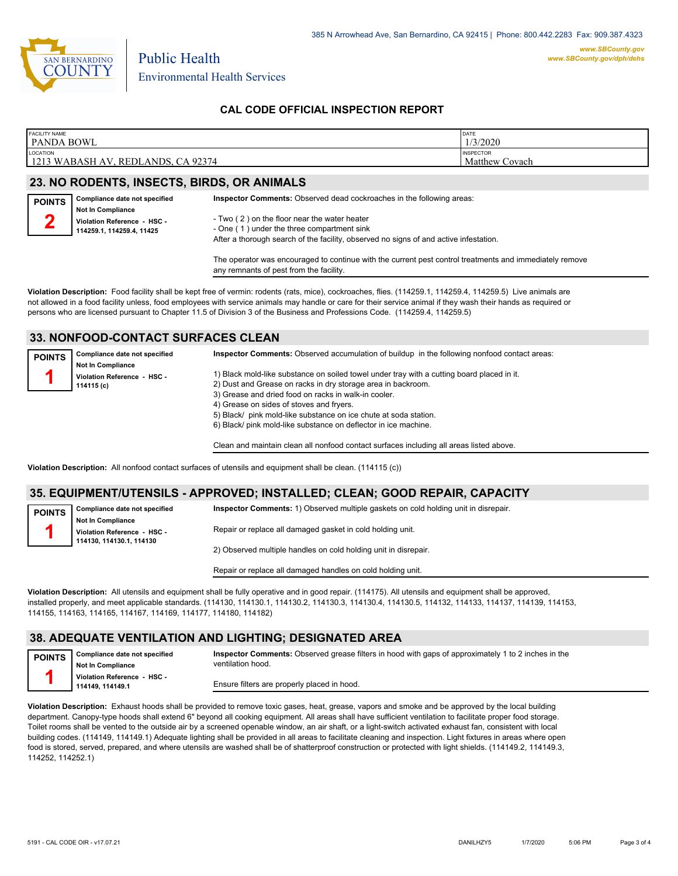

Environmental Health Services

### **CAL CODE OFFICIAL INSPECTION REPORT**

| <b>FACILITY NAME</b>                 | DATE                  |
|--------------------------------------|-----------------------|
| <b>PANDA BOWL</b>                    | 1/3/2020              |
| <b>LOCATION</b>                      | <b>INSPECTOR</b>      |
| l 1213 WABASH AV, REDLANDS, CA 92374 | <b>Matthew Covach</b> |

### **23. NO RODENTS, INSECTS, BIRDS, OR ANIMALS**

Public Health

| <b>POINTS</b> | Compliance date not specified                                                 | <b>Inspector Comments:</b> Observed dead cockroaches in the following areas:               |
|---------------|-------------------------------------------------------------------------------|--------------------------------------------------------------------------------------------|
|               | Not In Compliance<br>Violation Reference - HSC -<br>114259.1, 114259.4, 11425 | - Two (2) on the floor near the water heater<br>- One (1) under the three compartment sink |
|               |                                                                               | After a thorough search of the facility, observed no signs of and active infestation.      |

The operator was encouraged to continue with the current pest control treatments and immediately remove any remnants of pest from the facility.

**Violation Description:** Food facility shall be kept free of vermin: rodents (rats, mice), cockroaches, flies. (114259.1, 114259.4, 114259.5) Live animals are not allowed in a food facility unless, food employees with service animals may handle or care for their service animal if they wash their hands as required or persons who are licensed pursuant to Chapter 11.5 of Division 3 of the Business and Professions Code. (114259.4, 114259.5)

### **33. NONFOOD-CONTACT SURFACES CLEAN**

| <b>POINTS</b> | Compliance date not specified | Inspector Comments: Observed accumulation of buildup in the following nonfood contact areas: |
|---------------|-------------------------------|----------------------------------------------------------------------------------------------|
|               | <b>Not In Compliance</b>      |                                                                                              |
|               | Violation Reference - HSC -   | 1) Black mold-like substance on soiled towel under tray with a cutting board placed in it.   |
|               | 114115 (c)                    | 2) Dust and Grease on racks in dry storage area in backroom.                                 |
|               |                               | 3) Grease and dried food on racks in walk-in cooler.                                         |
|               |                               | 4) Grease on sides of stoves and fryers.                                                     |
|               |                               | 5) Black/ pink mold-like substance on ice chute at soda station.                             |
|               |                               | 6) Black/ pink mold-like substance on deflector in ice machine.                              |

Clean and maintain clean all nonfood contact surfaces including all areas listed above.

**Violation Description:** All nonfood contact surfaces of utensils and equipment shall be clean. (114115 (c))

#### **35. EQUIPMENT/UTENSILS - APPROVED; INSTALLED; CLEAN; GOOD REPAIR, CAPACITY**

| <b>POINTS</b> | Compliance date not specified | Inspector Comments: 1) Observed multiple gaskets on cold holding unit in disrepair. |  |  |
|---------------|-------------------------------|-------------------------------------------------------------------------------------|--|--|
|               | <b>Not In Compliance</b>      |                                                                                     |  |  |
|               | Violation Reference - HSC -   | Repair or replace all damaged gasket in cold holding unit.                          |  |  |
|               | 114130, 114130.1, 114130      |                                                                                     |  |  |
|               |                               | 2) Observed multiple handles on cold holding unit in disrepair.                     |  |  |

Repair or replace all damaged handles on cold holding unit.

**Violation Description:** All utensils and equipment shall be fully operative and in good repair. (114175). All utensils and equipment shall be approved, installed properly, and meet applicable standards. (114130, 114130.1, 114130.2, 114130.3, 114130.4, 114130.5, 114132, 114133, 114137, 114139, 114153, 114155, 114163, 114165, 114167, 114169, 114177, 114180, 114182)

### **38. ADEQUATE VENTILATION AND LIGHTING; DESIGNATED AREA**

**Compliance date not specified Not In Compliance Violation Reference - HSC - 114149, 114149.1 POINTS 1 Inspector Comments:** Observed grease filters in hood with gaps of approximately 1 to 2 inches in the ventilation hood.

Ensure filters are properly placed in hood.

**Violation Description:** Exhaust hoods shall be provided to remove toxic gases, heat, grease, vapors and smoke and be approved by the local building department. Canopy-type hoods shall extend 6" beyond all cooking equipment. All areas shall have sufficient ventilation to facilitate proper food storage. Toilet rooms shall be vented to the outside air by a screened openable window, an air shaft, or a light-switch activated exhaust fan, consistent with local building codes. (114149, 114149.1) Adequate lighting shall be provided in all areas to facilitate cleaning and inspection. Light fixtures in areas where open food is stored, served, prepared, and where utensils are washed shall be of shatterproof construction or protected with light shields. (114149.2, 114149.3, 114252, 114252.1)